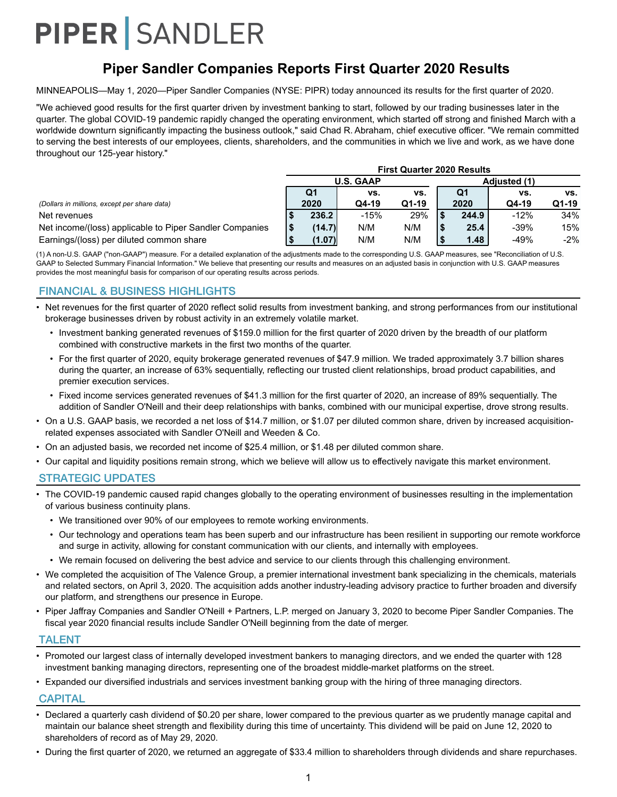## **Piper Sandler Companies Reports First Quarter 2020 Results**

MINNEAPOLIS—May 1, 2020—Piper Sandler Companies (NYSE: PIPR) today announced its results for the first quarter of 2020.

"We achieved good results for the first quarter driven by investment banking to start, followed by our trading businesses later in the quarter. The global COVID-19 pandemic rapidly changed the operating environment, which started off strong and finished March with a worldwide downturn significantly impacting the business outlook," said Chad R. Abraham, chief executive officer. "We remain committed to serving the best interests of our employees, clients, shareholders, and the communities in which we live and work, as we have done throughout our 125-year history."

|                                                         | <b>First Quarter 2020 Results</b> |        |        |       |  |                     |        |        |  |
|---------------------------------------------------------|-----------------------------------|--------|--------|-------|--|---------------------|--------|--------|--|
|                                                         | <b>U.S. GAAP</b>                  |        |        |       |  | <b>Adiusted (1)</b> |        |        |  |
|                                                         |                                   | Q1     | VS.    | VS.   |  | Q1                  | vs.    | vs.    |  |
| (Dollars in millions, except per share data)            |                                   | 2020   | Q4-19  | Q1-19 |  | 2020                | Q4-19  | Q1-19  |  |
| Net revenues                                            |                                   | 236.2  | $-15%$ | 29%   |  | 244.9               | $-12%$ | 34%    |  |
| Net income/(loss) applicable to Piper Sandler Companies |                                   | (14.7) | N/M    | N/M   |  | 25.4                | $-39%$ | 15%    |  |
| Earnings/(loss) per diluted common share                |                                   | (1.07) | N/M    | N/M   |  | 1.48                | $-49%$ | $-2\%$ |  |

(1) A non-U.S. GAAP ("non-GAAP") measure. For a detailed explanation of the adjustments made to the corresponding U.S. GAAP measures, see "Reconciliation of U.S. GAAP to Selected Summary Financial Information." We believe that presenting our results and measures on an adjusted basis in conjunction with U.S. GAAP measures provides the most meaningful basis for comparison of our operating results across periods.

#### FINANCIAL & BUSINESS HIGHLIGHTS

- Net revenues for the first quarter of 2020 reflect solid results from investment banking, and strong performances from our institutional brokerage businesses driven by robust activity in an extremely volatile market.
	- Investment banking generated revenues of \$159.0 million for the first quarter of 2020 driven by the breadth of our platform combined with constructive markets in the first two months of the quarter.
	- For the first quarter of 2020, equity brokerage generated revenues of \$47.9 million. We traded approximately 3.7 billion shares during the quarter, an increase of 63% sequentially, reflecting our trusted client relationships, broad product capabilities, and premier execution services.
	- Fixed income services generated revenues of \$41.3 million for the first quarter of 2020, an increase of 89% sequentially. The addition of Sandler O'Neill and their deep relationships with banks, combined with our municipal expertise, drove strong results.
- On a U.S. GAAP basis, we recorded a net loss of \$14.7 million, or \$1.07 per diluted common share, driven by increased acquisitionrelated expenses associated with Sandler O'Neill and Weeden & Co.
- On an adjusted basis, we recorded net income of \$25.4 million, or \$1.48 per diluted common share.
- Our capital and liquidity positions remain strong, which we believe will allow us to effectively navigate this market environment.

#### STRATEGIC UPDATES

- The COVID-19 pandemic caused rapid changes globally to the operating environment of businesses resulting in the implementation of various business continuity plans.
	- We transitioned over 90% of our employees to remote working environments.
	- Our technology and operations team has been superb and our infrastructure has been resilient in supporting our remote workforce and surge in activity, allowing for constant communication with our clients, and internally with employees.
	- We remain focused on delivering the best advice and service to our clients through this challenging environment.
- We completed the acquisition of The Valence Group, a premier international investment bank specializing in the chemicals, materials and related sectors, on April 3, 2020. The acquisition adds another industry-leading advisory practice to further broaden and diversify our platform, and strengthens our presence in Europe.
- Piper Jaffray Companies and Sandler O'Neill + Partners, L.P. merged on January 3, 2020 to become Piper Sandler Companies. The fiscal year 2020 financial results include Sandler O'Neill beginning from the date of merger.

#### TALENT

- Promoted our largest class of internally developed investment bankers to managing directors, and we ended the quarter with 128 investment banking managing directors, representing one of the broadest middle-market platforms on the street.
- Expanded our diversified industrials and services investment banking group with the hiring of three managing directors.

#### **CAPITAL**

- Declared a quarterly cash dividend of \$0.20 per share, lower compared to the previous quarter as we prudently manage capital and maintain our balance sheet strength and flexibility during this time of uncertainty. This dividend will be paid on June 12, 2020 to shareholders of record as of May 29, 2020.
- During the first quarter of 2020, we returned an aggregate of \$33.4 million to shareholders through dividends and share repurchases.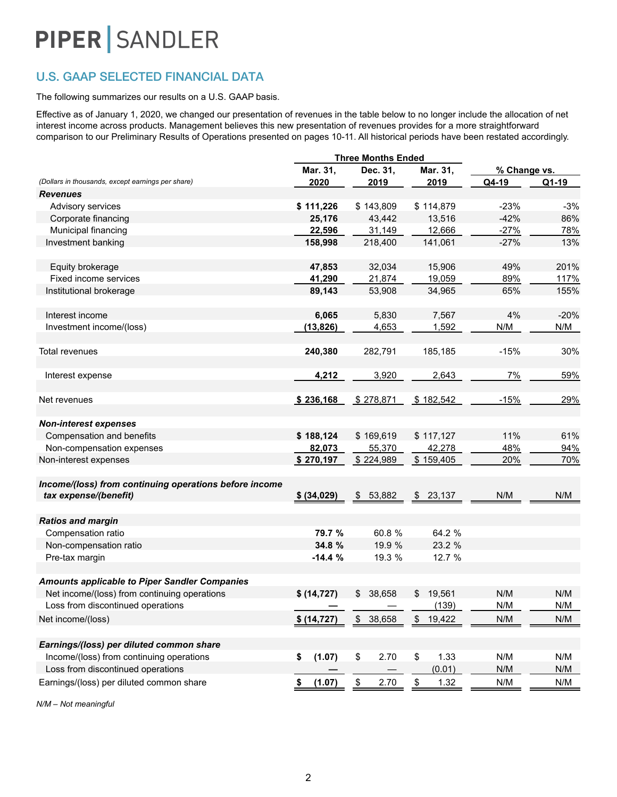## U.S. GAAP SELECTED FINANCIAL DATA

#### The following summarizes our results on a U.S. GAAP basis.

Effective as of January 1, 2020, we changed our presentation of revenues in the table below to no longer include the allocation of net interest income across products. Management believes this new presentation of revenues provides for a more straightforward comparison to our Preliminary Results of Operations presented on pages 10-11. All historical periods have been restated accordingly.

|                                                                                 |              | <b>Three Months Ended</b> |              |              |        |  |
|---------------------------------------------------------------------------------|--------------|---------------------------|--------------|--------------|--------|--|
|                                                                                 | Mar. 31,     | Dec. 31,                  | Mar. 31,     | % Change vs. |        |  |
| (Dollars in thousands, except earnings per share)                               | 2020         | 2019                      | 2019         | Q4-19        | Q1-19  |  |
| <b>Revenues</b>                                                                 |              |                           |              |              |        |  |
| Advisory services                                                               | \$111,226    | \$143,809                 | \$114,879    | $-23%$       | $-3%$  |  |
| Corporate financing                                                             | 25,176       | 43,442                    | 13,516       | $-42%$       | 86%    |  |
| Municipal financing                                                             | 22,596       | 31,149                    | 12,666       | $-27%$       | 78%    |  |
| Investment banking                                                              | 158,998      | 218,400                   | 141,061      | $-27%$       | 13%    |  |
| Equity brokerage                                                                | 47,853       | 32,034                    | 15,906       | 49%          | 201%   |  |
| Fixed income services                                                           | 41,290       | 21,874                    | 19,059       | 89%          | 117%   |  |
| Institutional brokerage                                                         | 89,143       | 53,908                    | 34,965       | 65%          | 155%   |  |
| Interest income                                                                 | 6,065        | 5,830                     | 7,567        | 4%           | $-20%$ |  |
| Investment income/(loss)                                                        | (13, 826)    | 4,653                     | 1,592        | N/M          | N/M    |  |
| <b>Total revenues</b>                                                           | 240,380      | 282,791                   | 185,185      | $-15%$       | 30%    |  |
| Interest expense                                                                | 4,212        | 3,920                     | 2,643        | 7%           | 59%    |  |
| Net revenues                                                                    | \$236,168    | \$278,871                 | \$182,542    | $-15%$       | 29%    |  |
| <b>Non-interest expenses</b>                                                    |              |                           |              |              |        |  |
| Compensation and benefits                                                       | \$188,124    | \$169,619                 | \$117,127    | 11%          | 61%    |  |
| Non-compensation expenses                                                       | 82,073       | 55,370                    | 42,278       | 48%          | 94%    |  |
| Non-interest expenses                                                           | \$270,197    | \$224,989                 | \$159,405    | 20%          | 70%    |  |
| Income/(loss) from continuing operations before income<br>tax expense/(benefit) | \$ (34,029)  | \$53,882                  | \$23,137     | N/M          | N/M    |  |
|                                                                                 |              |                           |              |              |        |  |
| <b>Ratios and margin</b>                                                        |              |                           |              |              |        |  |
| Compensation ratio                                                              | 79.7 %       | 60.8 %                    | 64.2 %       |              |        |  |
| Non-compensation ratio                                                          | 34.8 %       | 19.9 %                    | 23.2 %       |              |        |  |
| Pre-tax margin                                                                  | $-14.4%$     | 19.3 %                    | 12.7 %       |              |        |  |
| <b>Amounts applicable to Piper Sandler Companies</b>                            |              |                           |              |              |        |  |
| Net income/(loss) from continuing operations                                    | \$ (14, 727) | $\frac{1}{2}$<br>38,658   | 19,561<br>\$ | N/M          | N/M    |  |
| Loss from discontinued operations                                               |              |                           | (139)        | N/M          | N/M    |  |
| Net income/(loss)                                                               | \$(14, 727)  | \$<br>38,658              | \$<br>19,422 | N/M          | N/M    |  |
| Earnings/(loss) per diluted common share                                        |              |                           |              |              |        |  |
| Income/(loss) from continuing operations                                        | (1.07)<br>\$ | \$<br>2.70                | \$<br>1.33   | N/M          | N/M    |  |
| Loss from discontinued operations                                               |              |                           | (0.01)       | N/M          | N/M    |  |
| Earnings/(loss) per diluted common share                                        | (1.07)       | $\frac{1}{2}$<br>2.70     | \$<br>1.32   | N/M          | N/M    |  |
|                                                                                 | \$           |                           |              |              |        |  |

*N/M – Not meaningful*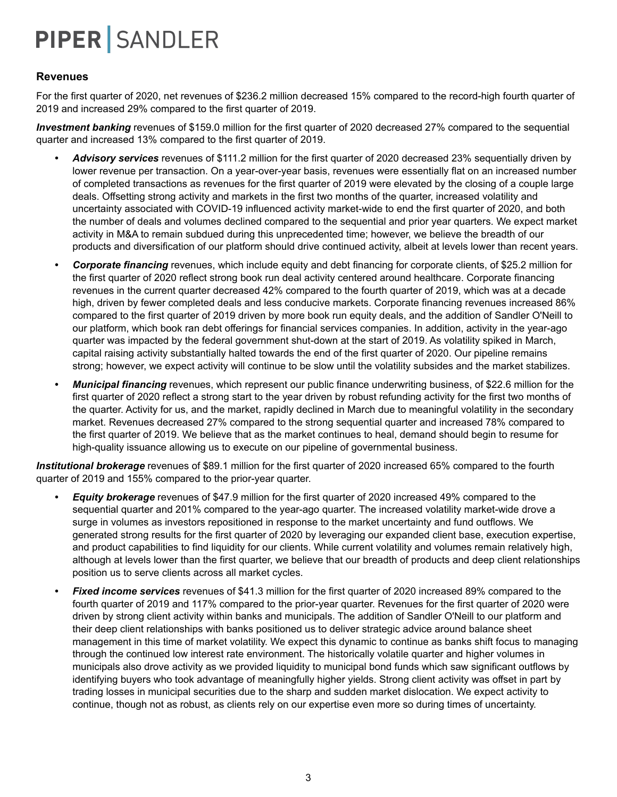### **Revenues**

For the first quarter of 2020, net revenues of \$236.2 million decreased 15% compared to the record-high fourth quarter of 2019 and increased 29% compared to the first quarter of 2019.

*Investment banking* revenues of \$159.0 million for the first quarter of 2020 decreased 27% compared to the sequential quarter and increased 13% compared to the first quarter of 2019.

- *• Advisory services* revenues of \$111.2 million for the first quarter of 2020 decreased 23% sequentially driven by lower revenue per transaction. On a year-over-year basis, revenues were essentially flat on an increased number of completed transactions as revenues for the first quarter of 2019 were elevated by the closing of a couple large deals. Offsetting strong activity and markets in the first two months of the quarter, increased volatility and uncertainty associated with COVID-19 influenced activity market-wide to end the first quarter of 2020, and both the number of deals and volumes declined compared to the sequential and prior year quarters. We expect market activity in M&A to remain subdued during this unprecedented time; however, we believe the breadth of our products and diversification of our platform should drive continued activity, albeit at levels lower than recent years.
- *• Corporate financing* revenues, which include equity and debt financing for corporate clients, of \$25.2 million for the first quarter of 2020 reflect strong book run deal activity centered around healthcare. Corporate financing revenues in the current quarter decreased 42% compared to the fourth quarter of 2019, which was at a decade high, driven by fewer completed deals and less conducive markets. Corporate financing revenues increased 86% compared to the first quarter of 2019 driven by more book run equity deals, and the addition of Sandler O'Neill to our platform, which book ran debt offerings for financial services companies. In addition, activity in the year-ago quarter was impacted by the federal government shut-down at the start of 2019. As volatility spiked in March, capital raising activity substantially halted towards the end of the first quarter of 2020. Our pipeline remains strong; however, we expect activity will continue to be slow until the volatility subsides and the market stabilizes.
- *• Municipal financing* revenues, which represent our public finance underwriting business, of \$22.6 million for the first quarter of 2020 reflect a strong start to the year driven by robust refunding activity for the first two months of the quarter. Activity for us, and the market, rapidly declined in March due to meaningful volatility in the secondary market. Revenues decreased 27% compared to the strong sequential quarter and increased 78% compared to the first quarter of 2019. We believe that as the market continues to heal, demand should begin to resume for high-quality issuance allowing us to execute on our pipeline of governmental business.

*Institutional brokerage* revenues of \$89.1 million for the first quarter of 2020 increased 65% compared to the fourth quarter of 2019 and 155% compared to the prior-year quarter.

- *• Equity brokerage* revenues of \$47.9 million for the first quarter of 2020 increased 49% compared to the sequential quarter and 201% compared to the year-ago quarter. The increased volatility market-wide drove a surge in volumes as investors repositioned in response to the market uncertainty and fund outflows. We generated strong results for the first quarter of 2020 by leveraging our expanded client base, execution expertise, and product capabilities to find liquidity for our clients. While current volatility and volumes remain relatively high, although at levels lower than the first quarter, we believe that our breadth of products and deep client relationships position us to serve clients across all market cycles.
- *• Fixed income services* revenues of \$41.3 million for the first quarter of 2020 increased 89% compared to the fourth quarter of 2019 and 117% compared to the prior-year quarter. Revenues for the first quarter of 2020 were driven by strong client activity within banks and municipals. The addition of Sandler O'Neill to our platform and their deep client relationships with banks positioned us to deliver strategic advice around balance sheet management in this time of market volatility. We expect this dynamic to continue as banks shift focus to managing through the continued low interest rate environment. The historically volatile quarter and higher volumes in municipals also drove activity as we provided liquidity to municipal bond funds which saw significant outflows by identifying buyers who took advantage of meaningfully higher yields. Strong client activity was offset in part by trading losses in municipal securities due to the sharp and sudden market dislocation. We expect activity to continue, though not as robust, as clients rely on our expertise even more so during times of uncertainty.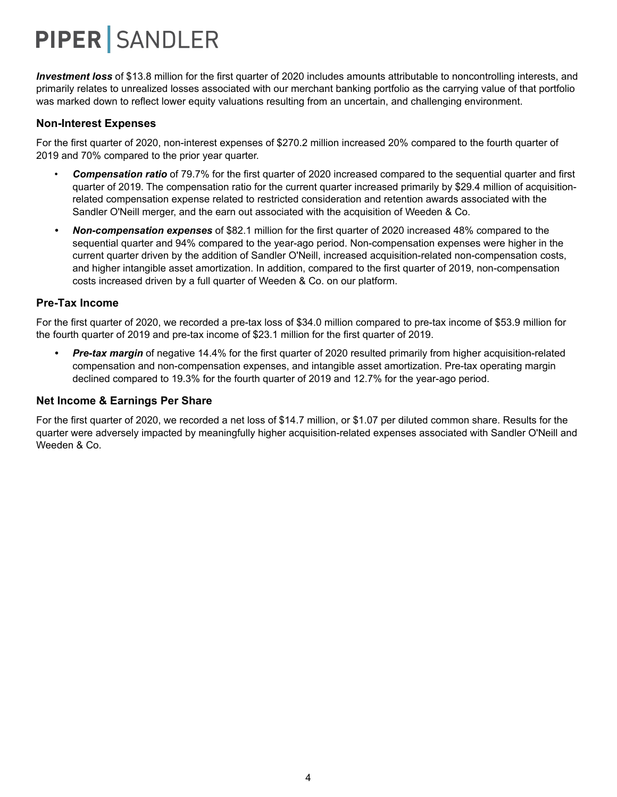*Investment loss* of \$13.8 million for the first quarter of 2020 includes amounts attributable to noncontrolling interests, and primarily relates to unrealized losses associated with our merchant banking portfolio as the carrying value of that portfolio was marked down to reflect lower equity valuations resulting from an uncertain, and challenging environment.

#### **Non-Interest Expenses**

For the first quarter of 2020, non-interest expenses of \$270.2 million increased 20% compared to the fourth quarter of 2019 and 70% compared to the prior year quarter.

- *Compensation ratio* of 79.7% for the first quarter of 2020 increased compared to the sequential quarter and first quarter of 2019. The compensation ratio for the current quarter increased primarily by \$29.4 million of acquisitionrelated compensation expense related to restricted consideration and retention awards associated with the Sandler O'Neill merger, and the earn out associated with the acquisition of Weeden & Co.
- *• Non-compensation expenses* of \$82.1 million for the first quarter of 2020 increased 48% compared to the sequential quarter and 94% compared to the year-ago period. Non-compensation expenses were higher in the current quarter driven by the addition of Sandler O'Neill, increased acquisition-related non-compensation costs, and higher intangible asset amortization. In addition, compared to the first quarter of 2019, non-compensation costs increased driven by a full quarter of Weeden & Co. on our platform.

#### **Pre-Tax Income**

For the first quarter of 2020, we recorded a pre-tax loss of \$34.0 million compared to pre-tax income of \$53.9 million for the fourth quarter of 2019 and pre-tax income of \$23.1 million for the first quarter of 2019.

*• Pre-tax margin* of negative 14.4% for the first quarter of 2020 resulted primarily from higher acquisition-related compensation and non-compensation expenses, and intangible asset amortization. Pre-tax operating margin declined compared to 19.3% for the fourth quarter of 2019 and 12.7% for the year-ago period.

#### **Net Income & Earnings Per Share**

For the first quarter of 2020, we recorded a net loss of \$14.7 million, or \$1.07 per diluted common share. Results for the quarter were adversely impacted by meaningfully higher acquisition-related expenses associated with Sandler O'Neill and Weeden & Co.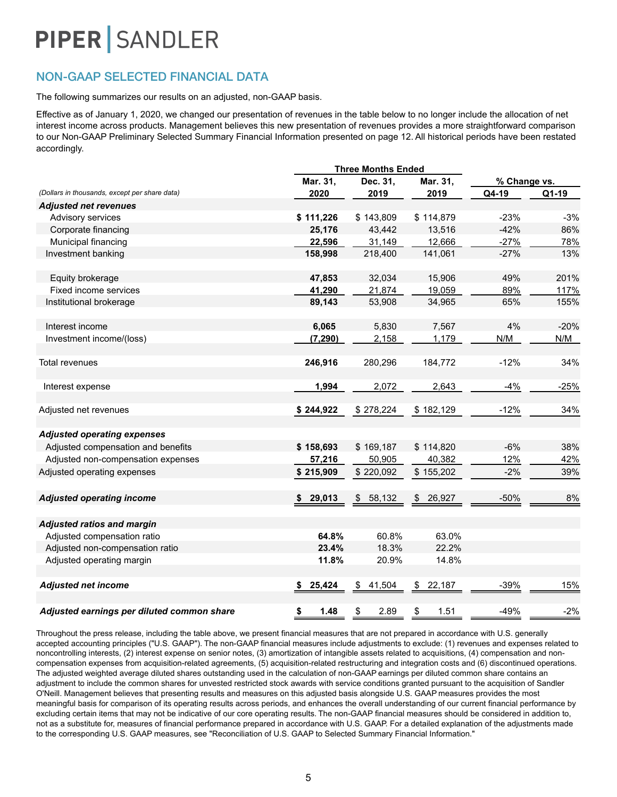### NON-GAAP SELECTED FINANCIAL DATA

The following summarizes our results on an adjusted, non-GAAP basis.

Effective as of January 1, 2020, we changed our presentation of revenues in the table below to no longer include the allocation of net interest income across products. Management believes this new presentation of revenues provides a more straightforward comparison to our Non-GAAP Preliminary Selected Summary Financial Information presented on page 12. All historical periods have been restated accordingly.

|                                               | <b>Three Months Ended</b> |              |              |              |        |  |
|-----------------------------------------------|---------------------------|--------------|--------------|--------------|--------|--|
|                                               | Mar. 31,                  | Dec. 31,     | Mar. 31,     | % Change vs. |        |  |
| (Dollars in thousands, except per share data) | 2020                      | 2019         | 2019         | Q4-19        | Q1-19  |  |
| <b>Adjusted net revenues</b>                  |                           |              |              |              |        |  |
| Advisory services                             | \$111,226                 | \$143,809    | \$114,879    | $-23%$       | $-3%$  |  |
| Corporate financing                           | 25,176                    | 43,442       | 13,516       | $-42%$       | 86%    |  |
| Municipal financing                           | 22,596                    | 31,149       | 12,666       | $-27%$       | 78%    |  |
| Investment banking                            | 158,998                   | 218,400      | 141,061      | $-27%$       | 13%    |  |
| Equity brokerage                              | 47,853                    | 32,034       | 15,906       | 49%          | 201%   |  |
| Fixed income services                         | 41,290                    | 21,874       | 19,059       | 89%          | 117%   |  |
| Institutional brokerage                       | 89,143                    | 53,908       | 34,965       | 65%          | 155%   |  |
| Interest income                               | 6,065                     | 5,830        | 7,567        | 4%           | $-20%$ |  |
| Investment income/(loss)                      | (7, 290)                  | 2,158        | 1,179        | N/M          | N/M    |  |
| <b>Total revenues</b>                         | 246,916                   | 280,296      | 184,772      | $-12%$       | 34%    |  |
| Interest expense                              | 1,994                     | 2,072        | 2,643        | $-4%$        | $-25%$ |  |
| Adjusted net revenues                         | \$244,922                 | \$278,224    | \$182,129    | $-12%$       | 34%    |  |
| <b>Adjusted operating expenses</b>            |                           |              |              |              |        |  |
| Adjusted compensation and benefits            | \$158,693                 | \$169,187    | \$114,820    | $-6%$        | 38%    |  |
| Adjusted non-compensation expenses            | 57,216                    | 50,905       | 40,382       | 12%          | 42%    |  |
| Adjusted operating expenses                   | \$215,909                 | \$220,092    | \$155,202    | $-2%$        | 39%    |  |
| <b>Adjusted operating income</b>              | \$29,013                  | 58,132<br>\$ | \$26,927     | $-50%$       | 8%     |  |
| <b>Adjusted ratios and margin</b>             |                           |              |              |              |        |  |
| Adjusted compensation ratio                   | 64.8%                     | 60.8%        | 63.0%        |              |        |  |
| Adjusted non-compensation ratio               | 23.4%                     | 18.3%        | 22.2%        |              |        |  |
| Adjusted operating margin                     | 11.8%                     | 20.9%        | 14.8%        |              |        |  |
| <b>Adjusted net income</b>                    | 25,424<br>S,              | \$<br>41,504 | 22,187<br>\$ | $-39%$       | 15%    |  |
| Adjusted earnings per diluted common share    | \$<br>1.48                | \$<br>2.89   | \$<br>1.51   | $-49%$       | $-2%$  |  |

Throughout the press release, including the table above, we present financial measures that are not prepared in accordance with U.S. generally accepted accounting principles ("U.S. GAAP"). The non-GAAP financial measures include adjustments to exclude: (1) revenues and expenses related to noncontrolling interests, (2) interest expense on senior notes, (3) amortization of intangible assets related to acquisitions, (4) compensation and noncompensation expenses from acquisition-related agreements, (5) acquisition-related restructuring and integration costs and (6) discontinued operations. The adjusted weighted average diluted shares outstanding used in the calculation of non-GAAP earnings per diluted common share contains an adjustment to include the common shares for unvested restricted stock awards with service conditions granted pursuant to the acquisition of Sandler O'Neill. Management believes that presenting results and measures on this adjusted basis alongside U.S. GAAP measures provides the most meaningful basis for comparison of its operating results across periods, and enhances the overall understanding of our current financial performance by excluding certain items that may not be indicative of our core operating results. The non-GAAP financial measures should be considered in addition to, not as a substitute for, measures of financial performance prepared in accordance with U.S. GAAP. For a detailed explanation of the adjustments made to the corresponding U.S. GAAP measures, see "Reconciliation of U.S. GAAP to Selected Summary Financial Information."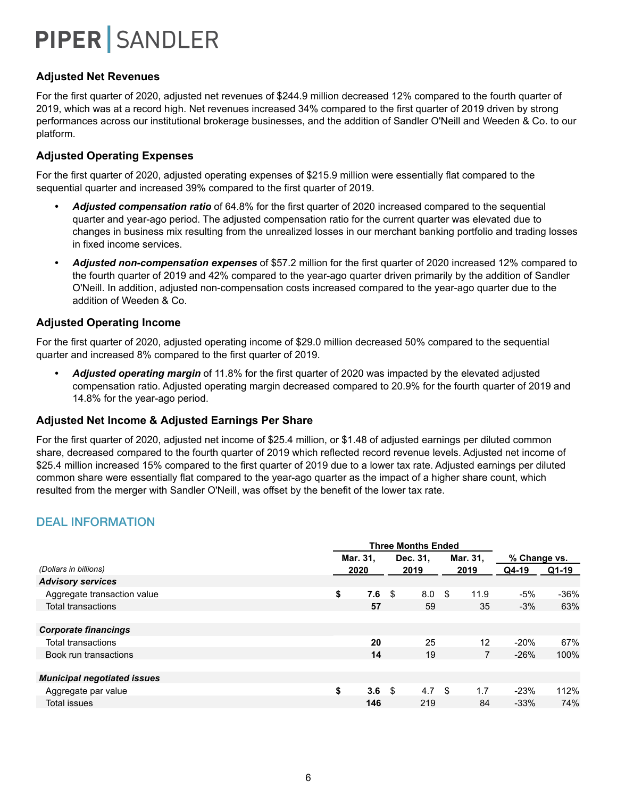### **Adjusted Net Revenues**

For the first quarter of 2020, adjusted net revenues of \$244.9 million decreased 12% compared to the fourth quarter of 2019, which was at a record high. Net revenues increased 34% compared to the first quarter of 2019 driven by strong performances across our institutional brokerage businesses, and the addition of Sandler O'Neill and Weeden & Co. to our platform.

### **Adjusted Operating Expenses**

For the first quarter of 2020, adjusted operating expenses of \$215.9 million were essentially flat compared to the sequential quarter and increased 39% compared to the first quarter of 2019.

- *• Adjusted compensation ratio* of 64.8% for the first quarter of 2020 increased compared to the sequential quarter and year-ago period. The adjusted compensation ratio for the current quarter was elevated due to changes in business mix resulting from the unrealized losses in our merchant banking portfolio and trading losses in fixed income services.
- *• Adjusted non-compensation expenses* of \$57.2 million for the first quarter of 2020 increased 12% compared to the fourth quarter of 2019 and 42% compared to the year-ago quarter driven primarily by the addition of Sandler O'Neill. In addition, adjusted non-compensation costs increased compared to the year-ago quarter due to the addition of Weeden & Co.

### **Adjusted Operating Income**

For the first quarter of 2020, adjusted operating income of \$29.0 million decreased 50% compared to the sequential quarter and increased 8% compared to the first quarter of 2019.

*• Adjusted operating margin* of 11.8% for the first quarter of 2020 was impacted by the elevated adjusted compensation ratio. Adjusted operating margin decreased compared to 20.9% for the fourth quarter of 2019 and 14.8% for the year-ago period.

### **Adjusted Net Income & Adjusted Earnings Per Share**

For the first quarter of 2020, adjusted net income of \$25.4 million, or \$1.48 of adjusted earnings per diluted common share, decreased compared to the fourth quarter of 2019 which reflected record revenue levels. Adjusted net income of \$25.4 million increased 15% compared to the first quarter of 2019 due to a lower tax rate. Adjusted earnings per diluted common share were essentially flat compared to the year-ago quarter as the impact of a higher share count, which resulted from the merger with Sandler O'Neill, was offset by the benefit of the lower tax rate.

### DEAL INFORMATION

|                                    | <b>Three Months Ended</b> |      |      |          |          |      |              |       |
|------------------------------------|---------------------------|------|------|----------|----------|------|--------------|-------|
|                                    | Mar. 31,                  |      |      | Dec. 31. | Mar. 31, |      | % Change vs. |       |
| (Dollars in billions)              |                           | 2020 | 2019 |          | 2019     |      | Q4-19        | Q1-19 |
| <b>Advisory services</b>           |                           |      |      |          |          |      |              |       |
| Aggregate transaction value        | \$                        | 7.6  | -\$  | 8.0      | -\$      | 11.9 | -5%          | -36%  |
| Total transactions                 |                           | 57   |      | 59       |          | 35   | $-3%$        | 63%   |
|                                    |                           |      |      |          |          |      |              |       |
| <b>Corporate financings</b>        |                           |      |      |          |          |      |              |       |
| <b>Total transactions</b>          |                           | 20   |      | 25       |          | 12   | $-20%$       | 67%   |
| Book run transactions              |                           | 14   |      | 19       |          | 7    | $-26%$       | 100%  |
|                                    |                           |      |      |          |          |      |              |       |
| <b>Municipal negotiated issues</b> |                           |      |      |          |          |      |              |       |
| Aggregate par value                | \$                        | 3.6  | \$   | 4.7      | \$       | 1.7  | $-23%$       | 112%  |
| <b>Total issues</b>                |                           | 146  |      | 219      |          | 84   | $-33%$       | 74%   |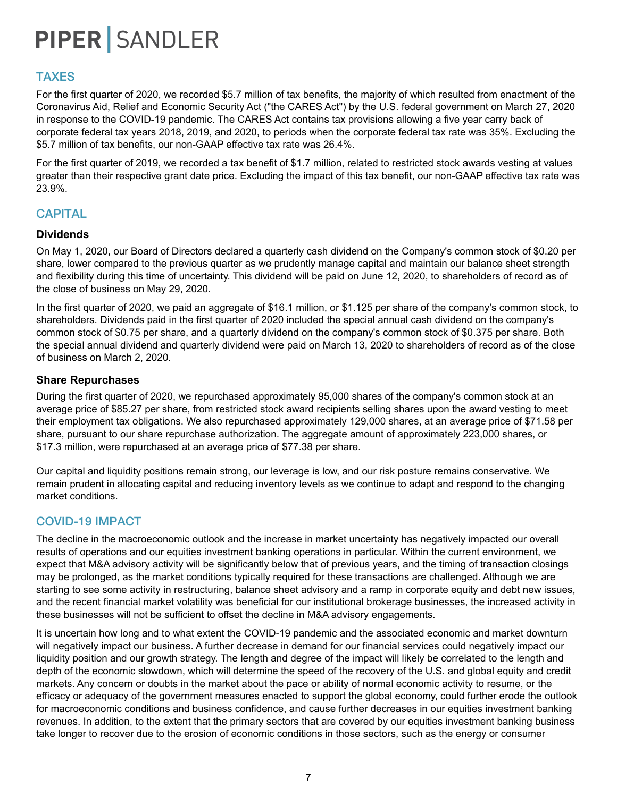### TAXES

For the first quarter of 2020, we recorded \$5.7 million of tax benefits, the majority of which resulted from enactment of the Coronavirus Aid, Relief and Economic Security Act ("the CARES Act") by the U.S. federal government on March 27, 2020 in response to the COVID-19 pandemic. The CARES Act contains tax provisions allowing a five year carry back of corporate federal tax years 2018, 2019, and 2020, to periods when the corporate federal tax rate was 35%. Excluding the \$5.7 million of tax benefits, our non-GAAP effective tax rate was 26.4%.

For the first quarter of 2019, we recorded a tax benefit of \$1.7 million, related to restricted stock awards vesting at values greater than their respective grant date price. Excluding the impact of this tax benefit, our non-GAAP effective tax rate was 23.9%.

### **CAPITAL**

### **Dividends**

On May 1, 2020, our Board of Directors declared a quarterly cash dividend on the Company's common stock of \$0.20 per share, lower compared to the previous quarter as we prudently manage capital and maintain our balance sheet strength and flexibility during this time of uncertainty. This dividend will be paid on June 12, 2020, to shareholders of record as of the close of business on May 29, 2020.

In the first quarter of 2020, we paid an aggregate of \$16.1 million, or \$1.125 per share of the company's common stock, to shareholders. Dividends paid in the first quarter of 2020 included the special annual cash dividend on the company's common stock of \$0.75 per share, and a quarterly dividend on the company's common stock of \$0.375 per share. Both the special annual dividend and quarterly dividend were paid on March 13, 2020 to shareholders of record as of the close of business on March 2, 2020.

#### **Share Repurchases**

During the first quarter of 2020, we repurchased approximately 95,000 shares of the company's common stock at an average price of \$85.27 per share, from restricted stock award recipients selling shares upon the award vesting to meet their employment tax obligations. We also repurchased approximately 129,000 shares, at an average price of \$71.58 per share, pursuant to our share repurchase authorization. The aggregate amount of approximately 223,000 shares, or \$17.3 million, were repurchased at an average price of \$77.38 per share.

Our capital and liquidity positions remain strong, our leverage is low, and our risk posture remains conservative. We remain prudent in allocating capital and reducing inventory levels as we continue to adapt and respond to the changing market conditions.

### COVID-19 IMPACT

The decline in the macroeconomic outlook and the increase in market uncertainty has negatively impacted our overall results of operations and our equities investment banking operations in particular. Within the current environment, we expect that M&A advisory activity will be significantly below that of previous years, and the timing of transaction closings may be prolonged, as the market conditions typically required for these transactions are challenged. Although we are starting to see some activity in restructuring, balance sheet advisory and a ramp in corporate equity and debt new issues, and the recent financial market volatility was beneficial for our institutional brokerage businesses, the increased activity in these businesses will not be sufficient to offset the decline in M&A advisory engagements.

It is uncertain how long and to what extent the COVID-19 pandemic and the associated economic and market downturn will negatively impact our business. A further decrease in demand for our financial services could negatively impact our liquidity position and our growth strategy. The length and degree of the impact will likely be correlated to the length and depth of the economic slowdown, which will determine the speed of the recovery of the U.S. and global equity and credit markets. Any concern or doubts in the market about the pace or ability of normal economic activity to resume, or the efficacy or adequacy of the government measures enacted to support the global economy, could further erode the outlook for macroeconomic conditions and business confidence, and cause further decreases in our equities investment banking revenues. In addition, to the extent that the primary sectors that are covered by our equities investment banking business take longer to recover due to the erosion of economic conditions in those sectors, such as the energy or consumer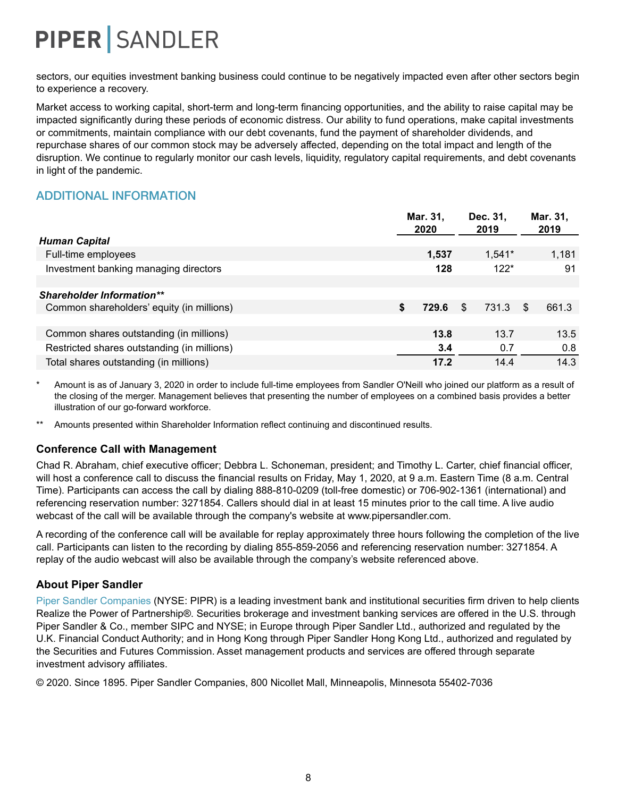sectors, our equities investment banking business could continue to be negatively impacted even after other sectors begin to experience a recovery.

Market access to working capital, short-term and long-term financing opportunities, and the ability to raise capital may be impacted significantly during these periods of economic distress. Our ability to fund operations, make capital investments or commitments, maintain compliance with our debt covenants, fund the payment of shareholder dividends, and repurchase shares of our common stock may be adversely affected, depending on the total impact and length of the disruption. We continue to regularly monitor our cash levels, liquidity, regulatory capital requirements, and debt covenants in light of the pandemic.

## ADDITIONAL INFORMATION

|                                             | Mar. 31,<br>2020 | Dec. 31,<br>2019 | Mar. 31,<br>2019 |
|---------------------------------------------|------------------|------------------|------------------|
| <b>Human Capital</b>                        |                  |                  |                  |
| Full-time employees                         | 1,537            | $1,541*$         | 1,181            |
| Investment banking managing directors       | 128              | $122*$           | 91               |
|                                             |                  |                  |                  |
| <b>Shareholder Information**</b>            |                  |                  |                  |
| Common shareholders' equity (in millions)   | \$<br>729.6      | -S<br>731.3      | 661.3<br>\$.     |
|                                             |                  |                  |                  |
| Common shares outstanding (in millions)     | 13.8             | 13.7             | 13.5             |
| Restricted shares outstanding (in millions) | 3.4              | 0.7              | 0.8              |
| Total shares outstanding (in millions)      | 17.2             | 14.4             | 14.3             |

Amount is as of January 3, 2020 in order to include full-time employees from Sandler O'Neill who joined our platform as a result of the closing of the merger. Management believes that presenting the number of employees on a combined basis provides a better illustration of our go-forward workforce.

Amounts presented within Shareholder Information reflect continuing and discontinued results.

### **Conference Call with Management**

Chad R. Abraham, chief executive officer; Debbra L. Schoneman, president; and Timothy L. Carter, chief financial officer, will host a conference call to discuss the financial results on Friday, May 1, 2020, at 9 a.m. Eastern Time (8 a.m. Central Time). Participants can access the call by dialing 888-810-0209 (toll-free domestic) or 706-902-1361 (international) and referencing reservation number: 3271854. Callers should dial in at least 15 minutes prior to the call time. A live audio webcast of the call will be available through the company's website at www.pipersandler.com.

A recording of the conference call will be available for replay approximately three hours following the completion of the live call. Participants can listen to the recording by dialing 855-859-2056 and referencing reservation number: 3271854. A replay of the audio webcast will also be available through the company's website referenced above.

### **About Piper Sandler**

Piper Sandler Companies (NYSE: PIPR) is a leading investment bank and institutional securities firm driven to help clients Realize the Power of Partnership®. Securities brokerage and investment banking services are offered in the U.S. through Piper Sandler & Co., member SIPC and NYSE; in Europe through Piper Sandler Ltd., authorized and regulated by the U.K. Financial Conduct Authority; and in Hong Kong through Piper Sandler Hong Kong Ltd., authorized and regulated by the Securities and Futures Commission. Asset management products and services are offered through separate investment advisory affiliates.

© 2020. Since 1895. Piper Sandler Companies, 800 Nicollet Mall, Minneapolis, Minnesota 55402-7036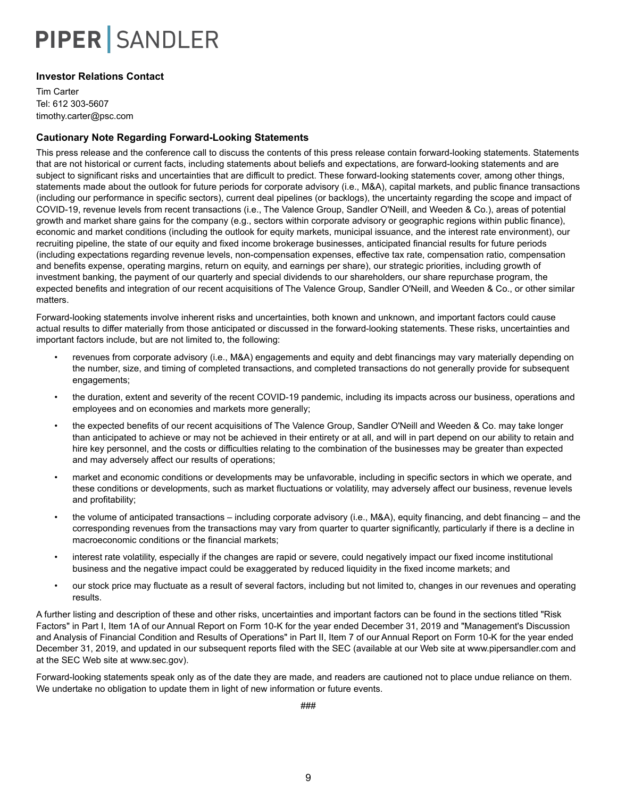#### **Investor Relations Contact**

Tim Carter Tel: 612 303-5607 timothy.carter@psc.com

#### **Cautionary Note Regarding Forward-Looking Statements**

This press release and the conference call to discuss the contents of this press release contain forward-looking statements. Statements that are not historical or current facts, including statements about beliefs and expectations, are forward-looking statements and are subject to significant risks and uncertainties that are difficult to predict. These forward-looking statements cover, among other things, statements made about the outlook for future periods for corporate advisory (i.e., M&A), capital markets, and public finance transactions (including our performance in specific sectors), current deal pipelines (or backlogs), the uncertainty regarding the scope and impact of COVID-19, revenue levels from recent transactions (i.e., The Valence Group, Sandler O'Neill, and Weeden & Co.), areas of potential growth and market share gains for the company (e.g., sectors within corporate advisory or geographic regions within public finance), economic and market conditions (including the outlook for equity markets, municipal issuance, and the interest rate environment), our recruiting pipeline, the state of our equity and fixed income brokerage businesses, anticipated financial results for future periods (including expectations regarding revenue levels, non-compensation expenses, effective tax rate, compensation ratio, compensation and benefits expense, operating margins, return on equity, and earnings per share), our strategic priorities, including growth of investment banking, the payment of our quarterly and special dividends to our shareholders, our share repurchase program, the expected benefits and integration of our recent acquisitions of The Valence Group, Sandler O'Neill, and Weeden & Co., or other similar matters.

Forward-looking statements involve inherent risks and uncertainties, both known and unknown, and important factors could cause actual results to differ materially from those anticipated or discussed in the forward-looking statements. These risks, uncertainties and important factors include, but are not limited to, the following:

- revenues from corporate advisory (i.e., M&A) engagements and equity and debt financings may vary materially depending on the number, size, and timing of completed transactions, and completed transactions do not generally provide for subsequent engagements;
- the duration, extent and severity of the recent COVID-19 pandemic, including its impacts across our business, operations and employees and on economies and markets more generally;
- the expected benefits of our recent acquisitions of The Valence Group, Sandler O'Neill and Weeden & Co. may take longer than anticipated to achieve or may not be achieved in their entirety or at all, and will in part depend on our ability to retain and hire key personnel, and the costs or difficulties relating to the combination of the businesses may be greater than expected and may adversely affect our results of operations;
- market and economic conditions or developments may be unfavorable, including in specific sectors in which we operate, and these conditions or developments, such as market fluctuations or volatility, may adversely affect our business, revenue levels and profitability;
- the volume of anticipated transactions including corporate advisory (i.e., M&A), equity financing, and debt financing and the corresponding revenues from the transactions may vary from quarter to quarter significantly, particularly if there is a decline in macroeconomic conditions or the financial markets;
- interest rate volatility, especially if the changes are rapid or severe, could negatively impact our fixed income institutional business and the negative impact could be exaggerated by reduced liquidity in the fixed income markets; and
- our stock price may fluctuate as a result of several factors, including but not limited to, changes in our revenues and operating results.

A further listing and description of these and other risks, uncertainties and important factors can be found in the sections titled "Risk Factors" in Part I, Item 1A of our Annual Report on Form 10-K for the year ended December 31, 2019 and "Management's Discussion and Analysis of Financial Condition and Results of Operations" in Part II, Item 7 of our Annual Report on Form 10-K for the year ended December 31, 2019, and updated in our subsequent reports filed with the SEC (available at our Web site at www.pipersandler.com and at the SEC Web site at www.sec.gov).

Forward-looking statements speak only as of the date they are made, and readers are cautioned not to place undue reliance on them. We undertake no obligation to update them in light of new information or future events.

###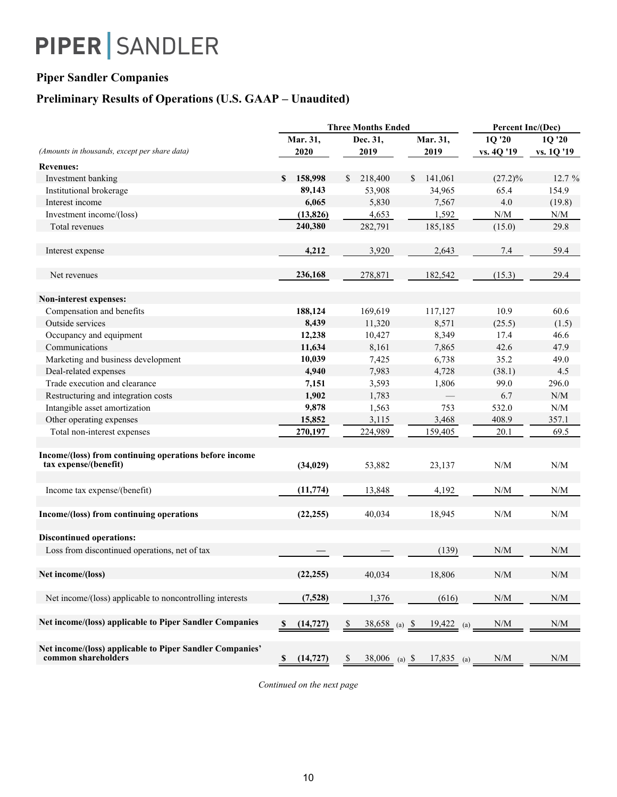### **Piper Sandler Companies**

## **Preliminary Results of Operations (U.S. GAAP – Unaudited)**

|                                                                                 |                          | <b>Three Months Ended</b>        |               | Percent Inc/(Dec)                                           |                                                             |  |  |
|---------------------------------------------------------------------------------|--------------------------|----------------------------------|---------------|-------------------------------------------------------------|-------------------------------------------------------------|--|--|
|                                                                                 | Mar. 31,                 | Dec. 31,                         | Mar. 31,      | 1Q '20                                                      | 1Q '20                                                      |  |  |
| (Amounts in thousands, except per share data)                                   | 2020                     | 2019                             | 2019          | vs. 4Q '19                                                  | vs. 1Q '19                                                  |  |  |
| <b>Revenues:</b>                                                                |                          |                                  |               |                                                             |                                                             |  |  |
| Investment banking                                                              | 158,998<br>S.            | 218,400<br><sup>\$</sup>         | 141,061<br>\$ | $(27.2)\%$                                                  | 12.7 %                                                      |  |  |
| Institutional brokerage                                                         | 89,143                   | 53,908                           | 34,965        | 65.4                                                        | 154.9                                                       |  |  |
| Interest income                                                                 | 6,065                    | 5,830                            | 7,567         | 4.0                                                         | (19.8)                                                      |  |  |
| Investment income/(loss)                                                        | (13, 826)                | 4,653                            | 1,592         | $\ensuremath{\text{N}}\xspace/\ensuremath{\text{M}}\xspace$ | $\ensuremath{\text{N}}\xspace/\ensuremath{\text{M}}\xspace$ |  |  |
| Total revenues                                                                  | 240,380                  | 282,791                          | 185,185       | (15.0)                                                      | 29.8                                                        |  |  |
| Interest expense                                                                | 4,212                    | 3,920                            | 2,643         | 7.4                                                         | 59.4                                                        |  |  |
| Net revenues                                                                    | 236,168                  | 278,871                          | 182,542       | (15.3)                                                      | 29.4                                                        |  |  |
| Non-interest expenses:                                                          |                          |                                  |               |                                                             |                                                             |  |  |
| Compensation and benefits                                                       | 188,124                  | 169,619                          | 117,127       | 10.9                                                        | 60.6                                                        |  |  |
| Outside services                                                                | 8,439                    | 11,320                           | 8,571         | (25.5)                                                      | (1.5)                                                       |  |  |
| Occupancy and equipment                                                         | 12,238                   | 10,427                           | 8,349         | 17.4                                                        | 46.6                                                        |  |  |
| Communications                                                                  | 11,634                   | 8,161                            | 7,865         | 42.6                                                        | 47.9                                                        |  |  |
| Marketing and business development                                              | 10,039                   | 7,425                            | 6,738         | 35.2                                                        | 49.0                                                        |  |  |
| Deal-related expenses                                                           | 4,940                    | 7,983                            | 4,728         | (38.1)                                                      | 4.5                                                         |  |  |
| Trade execution and clearance                                                   | 7,151                    | 3,593                            | 1,806         | 99.0                                                        | 296.0                                                       |  |  |
| Restructuring and integration costs                                             | 1,902                    | 1,783                            |               | 6.7                                                         | $\ensuremath{\text{N}}/\ensuremath{\text{M}}$               |  |  |
| Intangible asset amortization                                                   | 9,878                    | 1,563                            | 753           | 532.0                                                       | N/M                                                         |  |  |
| Other operating expenses                                                        | 15,852                   | 3,115                            | 3,468         | 408.9                                                       | 357.1                                                       |  |  |
| Total non-interest expenses                                                     | 270,197                  | 224,989                          | 159,405       | 20.1                                                        | 69.5                                                        |  |  |
| Income/(loss) from continuing operations before income                          |                          |                                  |               |                                                             |                                                             |  |  |
| tax expense/(benefit)                                                           | (34, 029)                | 53,882                           | 23,137        | N/M                                                         | N/M                                                         |  |  |
| Income tax expense/(benefit)                                                    | (11, 774)                | 13,848                           | 4,192         | N/M                                                         | N/M                                                         |  |  |
| Income/(loss) from continuing operations                                        | (22, 255)                | 40,034                           | 18,945        | N/M                                                         | N/M                                                         |  |  |
| <b>Discontinued operations:</b>                                                 |                          |                                  |               |                                                             |                                                             |  |  |
| Loss from discontinued operations, net of tax                                   |                          |                                  | (139)         | N/M                                                         | N/M                                                         |  |  |
| Net income/(loss)                                                               | (22, 255)                | 40,034                           | 18,806        | N/M                                                         | N/M                                                         |  |  |
| Net income/(loss) applicable to noncontrolling interests                        | (7,528)                  | 1,376                            | (616)         | N/M                                                         | $\ensuremath{\text{N}}\xspace/\ensuremath{\text{M}}\xspace$ |  |  |
| Net income/(loss) applicable to Piper Sandler Companies                         | $\mathbf s$<br>(14, 727) | $38,658$ (a) $\frac{\$}{}$<br>\$ | $19,422$ (a)  | N/M                                                         | $\ensuremath{\text{N}}/\ensuremath{\text{M}}$               |  |  |
| Net income/(loss) applicable to Piper Sandler Companies'<br>common shareholders | (14, 727)<br>\$          | 38,006 (a) $\frac{\$}{}$<br>\$   | $17,835$ (a)  | $\mathrm{N}/\mathrm{M}$                                     | N/M                                                         |  |  |

*Continued on the next page*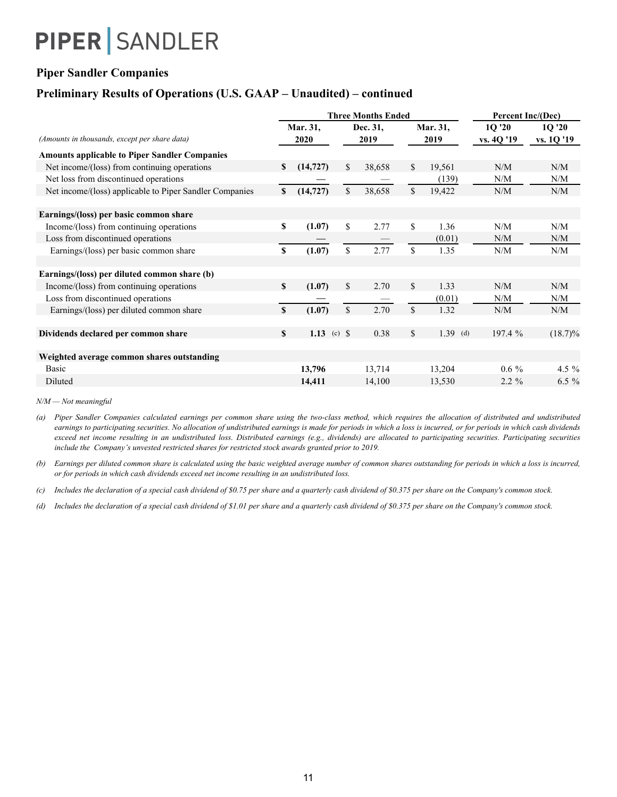### **Piper Sandler Companies**

### **Preliminary Results of Operations (U.S. GAAP – Unaudited) – continued**

|                                                         |    |                        | <b>Three Months Ended</b> |          | Percent Inc/(Dec) |             |            |            |  |
|---------------------------------------------------------|----|------------------------|---------------------------|----------|-------------------|-------------|------------|------------|--|
|                                                         |    | Mar. 31,               |                           | Dec. 31, |                   | Mar. 31,    | 1Q'20      | 1Q'20      |  |
| (Amounts in thousands, except per share data)           |    | 2020                   |                           | 2019     |                   | 2019        | vs. 40 '19 | vs. 1Q '19 |  |
| <b>Amounts applicable to Piper Sandler Companies</b>    |    |                        |                           |          |                   |             |            |            |  |
| Net income/(loss) from continuing operations            | S  | (14, 727)              | \$                        | 38,658   | \$                | 19,561      | N/M        | N/M        |  |
| Net loss from discontinued operations                   |    |                        |                           |          |                   | (139)       | N/M        | N/M        |  |
| Net income/(loss) applicable to Piper Sandler Companies | \$ | (14, 727)              | \$                        | 38,658   | \$                | 19,422      | N/M        | N/M        |  |
| Earnings/(loss) per basic common share                  |    |                        |                           |          |                   |             |            |            |  |
| Income/(loss) from continuing operations                | \$ | (1.07)                 | \$                        | 2.77     | \$                | 1.36        | N/M        | N/M        |  |
| Loss from discontinued operations                       |    |                        |                           |          |                   | (0.01)      | N/M        | N/M        |  |
| Earnings/(loss) per basic common share                  | \$ | (1.07)                 | \$                        | 2.77     | \$                | 1.35        | N/M        | N/M        |  |
| Earnings/(loss) per diluted common share (b)            |    |                        |                           |          |                   |             |            |            |  |
| Income/(loss) from continuing operations                | \$ | (1.07)                 | \$                        | 2.70     | \$                | 1.33        | N/M        | N/M        |  |
| Loss from discontinued operations                       |    |                        |                           |          |                   | (0.01)      | N/M        | N/M        |  |
| Earnings/(loss) per diluted common share                | \$ | (1.07)                 | $\mathbf S$               | 2.70     | \$                | 1.32        | N/M        | N/M        |  |
| Dividends declared per common share                     | S. | 1.13 (c) $\frac{1}{3}$ |                           | 0.38     | \$                | 1.39<br>(d) | 197.4 %    | $(18.7)\%$ |  |
| Weighted average common shares outstanding              |    |                        |                           |          |                   |             |            |            |  |
| <b>Basic</b>                                            |    | 13,796                 |                           | 13,714   |                   | 13,204      | $0.6\%$    | 4.5 $%$    |  |
| Diluted                                                 |    | 14,411                 |                           | 14,100   |                   | 13,530      | $2.2 \%$   | $6.5\%$    |  |

*N/M — Not meaningful*

(a) Piper Sandler Companies calculated earnings per common share using the two-class method, which requires the allocation of distributed and undistributed earnings to participating securities. No allocation of undistributed earnings is made for periods in which a loss is incurred, or for periods in which cash dividends exceed net income resulting in an undistributed loss. Distributed earnings (e.g., dividends) are allocated to participating securities. Participating securities *include the Company's unvested restricted shares for restricted stock awards granted prior to 2019.*

(b) Earnings per diluted common share is calculated using the basic weighted average number of common shares outstanding for periods in which a loss is incurred, *or for periods in which cash dividends exceed net income resulting in an undistributed loss.*

(c) Includes the declaration of a special cash dividend of \$0.75 per share and a quarterly cash dividend of \$0.375 per share on the Company's common stock.

(d) Includes the declaration of a special cash dividend of \$1.01 per share and a quarterly cash dividend of \$0.375 per share on the Company's common stock.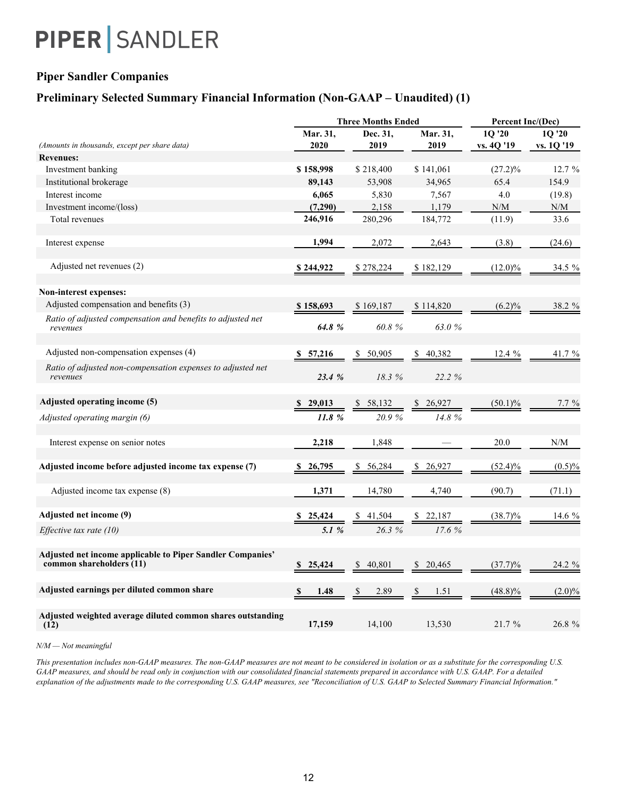### **Piper Sandler Companies**

### **Preliminary Selected Summary Financial Information (Non-GAAP – Unaudited) (1)**

|                                                                                               |               | <b>Three Months Ended</b> |              |            | Percent Inc/(Dec) |  |  |  |
|-----------------------------------------------------------------------------------------------|---------------|---------------------------|--------------|------------|-------------------|--|--|--|
|                                                                                               | Mar. 31,      | Dec. 31.                  | Mar. 31,     | 1Q '20     | 1Q '20            |  |  |  |
| (Amounts in thousands, except per share data)                                                 | 2020          | 2019                      | 2019         | vs. 4Q '19 | vs. 10 '19        |  |  |  |
| <b>Revenues:</b>                                                                              |               |                           |              |            |                   |  |  |  |
| Investment banking                                                                            | \$158,998     | \$218,400                 | \$141,061    | $(27.2)\%$ | 12.7%             |  |  |  |
| Institutional brokerage                                                                       | 89,143        | 53,908                    | 34,965       | 65.4       | 154.9             |  |  |  |
| Interest income                                                                               | 6,065         | 5,830                     | 7,567        | 4.0        | (19.8)            |  |  |  |
| Investment income/(loss)                                                                      | (7,290)       | 2,158                     | 1.179        | N/M        | N/M               |  |  |  |
| Total revenues                                                                                | 246,916       | 280,296                   | 184,772      | (11.9)     | 33.6              |  |  |  |
| Interest expense                                                                              | 1,994         | 2,072                     | 2,643        | (3.8)      | (24.6)            |  |  |  |
| Adjusted net revenues (2)                                                                     | \$244,922     | \$278,224                 | \$182,129    | $(12.0)\%$ | 34.5 %            |  |  |  |
| <b>Non-interest expenses:</b>                                                                 |               |                           |              |            |                   |  |  |  |
| Adjusted compensation and benefits (3)                                                        | \$158,693     | \$169,187                 | \$114,820    | $(6.2)\%$  | 38.2 %            |  |  |  |
| Ratio of adjusted compensation and benefits to adjusted net                                   |               |                           |              |            |                   |  |  |  |
| revenues                                                                                      | 64.8%         | 60.8%                     | 63.0%        |            |                   |  |  |  |
| Adjusted non-compensation expenses (4)                                                        | \$57,216      | 50,905<br>\$              | 40,382<br>\$ | $12.4\%$   | 41.7 %            |  |  |  |
| Ratio of adjusted non-compensation expenses to adjusted net<br>revenues                       | 23.4 %        | 18.3%                     | 22.2 %       |            |                   |  |  |  |
| Adjusted operating income (5)                                                                 | \$29,013      | 58,132                    | 26,927       | $(50.1)\%$ | $7.7\%$           |  |  |  |
| Adjusted operating margin (6)                                                                 | 11.8%         | 20.9%                     | 14.8%        |            |                   |  |  |  |
| Interest expense on senior notes                                                              | 2,218         | 1,848                     |              | 20.0       | N/M               |  |  |  |
| Adjusted income before adjusted income tax expense (7)                                        | 26,795        | 56,284                    | 26,927       | $(52.4)\%$ | $(0.5)\%$         |  |  |  |
| Adjusted income tax expense (8)                                                               | 1,371         | 14,780                    | 4,740        | (90.7)     | (71.1)            |  |  |  |
| Adjusted net income (9)                                                                       | 25,424<br>-SS | 41,504                    | 22,187       | $(38.7)\%$ | 14.6 %            |  |  |  |
| <i>Effective tax rate (10)</i>                                                                | 5.1 $%$       | 26.3%                     | 17.6 %       |            |                   |  |  |  |
| <b>Adjusted net income applicable to Piper Sandler Companies'</b><br>common shareholders (11) | 25,424<br>S   | 40,801<br>S.              | 20,465<br>S. | $(37.7)\%$ | $24.2\%$          |  |  |  |
| Adjusted earnings per diluted common share                                                    | 1.48          | 2.89                      | 1.51<br>S    | $(48.8)\%$ | $(2.0)\%$         |  |  |  |
| Adjusted weighted average diluted common shares outstanding<br>(12)                           | 17,159        | 14,100                    | 13,530       | 21.7 %     | 26.8%             |  |  |  |

*N/M — Not meaningful*

*This presentation includes non-GAAP measures. The non-GAAP measures are not meant to be considered in isolation or as a substitute for the corresponding U.S. GAAP measures, and should be read only in conjunction with our consolidated financial statements prepared in accordance with U.S. GAAP. For a detailed explanation of the adjustments made to the corresponding U.S. GAAP measures, see "Reconciliation of U.S. GAAP to Selected Summary Financial Information."*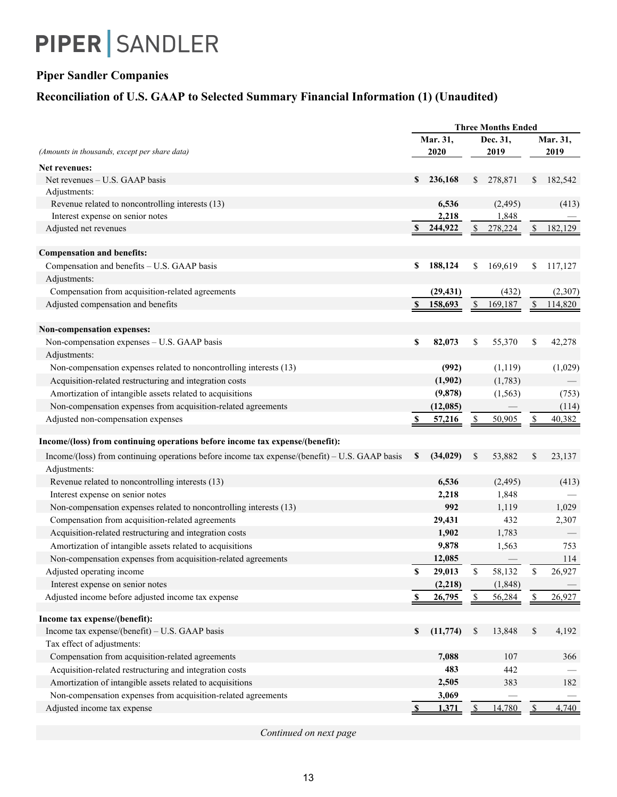## **Piper Sandler Companies**

## **Reconciliation of U.S. GAAP to Selected Summary Financial Information (1) (Unaudited)**

| <b>Three Months Ended</b>                                                                                                           |                          |  |  |
|-------------------------------------------------------------------------------------------------------------------------------------|--------------------------|--|--|
| Mar. 31,<br>Dec. 31,                                                                                                                | Mar. 31,                 |  |  |
| 2020<br>(Amounts in thousands, except per share data)<br>2019                                                                       | 2019                     |  |  |
| Net revenues:                                                                                                                       |                          |  |  |
| 236,168<br>\$<br>278,871<br>Net revenues – U.S. GAAP basis<br>S.                                                                    | 182,542<br>\$            |  |  |
| Adjustments:                                                                                                                        |                          |  |  |
| 6,536<br>Revenue related to noncontrolling interests (13)<br>(2, 495)                                                               | (413)                    |  |  |
| 2,218<br>1,848<br>Interest expense on senior notes                                                                                  |                          |  |  |
| Adjusted net revenues<br>244,922<br>278,224                                                                                         | 182,129                  |  |  |
| <b>Compensation and benefits:</b>                                                                                                   |                          |  |  |
| 188,124<br>169,619<br>Compensation and benefits - U.S. GAAP basis<br>\$<br>\$                                                       | \$<br>117,127            |  |  |
| Adjustments:                                                                                                                        |                          |  |  |
| Compensation from acquisition-related agreements<br>(29, 431)<br>(432)                                                              | (2,307)                  |  |  |
| Adjusted compensation and benefits<br>$\mathbf{s}$<br>158,693<br>\$<br>169,187                                                      | \$<br>114,820            |  |  |
|                                                                                                                                     |                          |  |  |
| Non-compensation expenses:                                                                                                          |                          |  |  |
| \$<br>Non-compensation expenses - U.S. GAAP basis<br>82,073<br>\$<br>55,370                                                         | \$<br>42,278             |  |  |
| Adjustments:                                                                                                                        |                          |  |  |
| Non-compensation expenses related to noncontrolling interests (13)<br>(992)<br>(1, 119)                                             | (1,029)                  |  |  |
| Acquisition-related restructuring and integration costs<br>(1,902)<br>(1,783)                                                       |                          |  |  |
| Amortization of intangible assets related to acquisitions<br>(9,878)<br>(1, 563)                                                    | (753)                    |  |  |
| Non-compensation expenses from acquisition-related agreements<br>(12,085)                                                           | (114)                    |  |  |
| Adjusted non-compensation expenses<br>S<br>57,216<br>\$<br>50,905                                                                   | $\mathbf{\$\}$<br>40,382 |  |  |
| Income/(loss) from continuing operations before income tax expense/(benefit):                                                       |                          |  |  |
|                                                                                                                                     |                          |  |  |
| (34, 029)<br>53,882<br>Income/(loss) from continuing operations before income tax expense/(benefit) $-$ U.S. GAAP basis<br>\$<br>\$ | \$<br>23,137             |  |  |
| Adjustments:                                                                                                                        |                          |  |  |
| 6,536<br>Revenue related to noncontrolling interests (13)<br>(2, 495)                                                               | (413)                    |  |  |
| 2,218<br>1,848<br>Interest expense on senior notes                                                                                  |                          |  |  |
| 992<br>1,119<br>Non-compensation expenses related to noncontrolling interests (13)                                                  | 1,029                    |  |  |
| 29,431<br>Compensation from acquisition-related agreements<br>432                                                                   | 2,307                    |  |  |
| Acquisition-related restructuring and integration costs<br>1,902<br>1,783                                                           |                          |  |  |
| Amortization of intangible assets related to acquisitions<br>9,878<br>1,563                                                         | 753                      |  |  |
| Non-compensation expenses from acquisition-related agreements<br>12,085                                                             | 114                      |  |  |
| \$<br>29,013<br>58,132<br>\$<br>Adjusted operating income                                                                           | \$<br>26,927             |  |  |
| (2, 218)<br>(1, 848)<br>Interest expense on senior notes                                                                            |                          |  |  |
| Adjusted income before adjusted income tax expense<br>26,795<br>56,284<br>\$                                                        | 26,927<br>$\frac{1}{2}$  |  |  |
| Income tax expense/(benefit):                                                                                                       |                          |  |  |
| Income tax expense/(benefit) - U.S. GAAP basis<br>(11, 774)<br>\$<br>13,848<br>\$                                                   | $\mathbb{S}$<br>4,192    |  |  |
| Tax effect of adjustments:                                                                                                          |                          |  |  |
| Compensation from acquisition-related agreements<br>7,088<br>107                                                                    | 366                      |  |  |
| Acquisition-related restructuring and integration costs<br>483<br>442                                                               |                          |  |  |
| Amortization of intangible assets related to acquisitions<br>2,505<br>383                                                           | 182                      |  |  |
| Non-compensation expenses from acquisition-related agreements<br>3,069                                                              | $\overline{\phantom{0}}$ |  |  |
| Adjusted income tax expense<br>1,371<br>14,780<br>$\mathbf{S}$<br><sup>\$</sup>                                                     |                          |  |  |

*Continued on next page*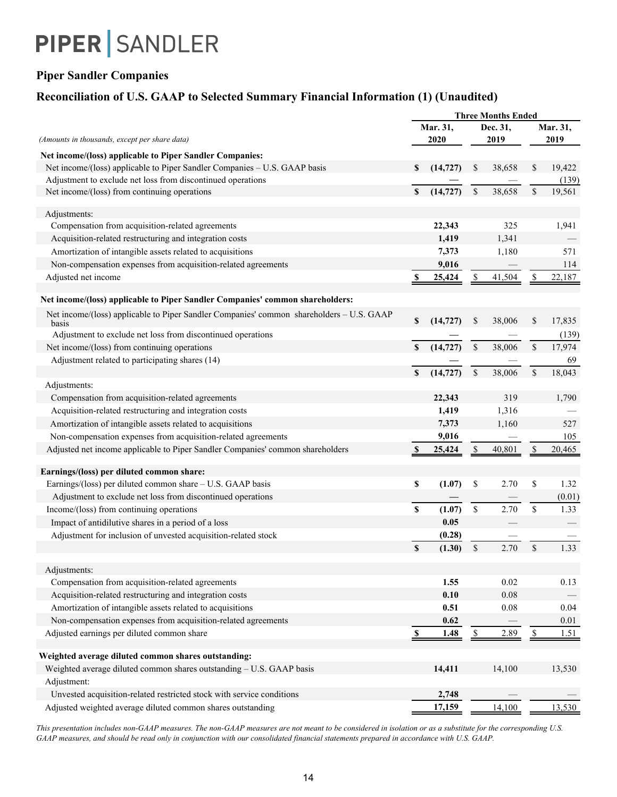## **Piper Sandler Companies**

## **Reconciliation of U.S. GAAP to Selected Summary Financial Information (1) (Unaudited)**

|                                                                                                   | <b>Three Months Ended</b> |                  |                    |                  |                  |        |  |
|---------------------------------------------------------------------------------------------------|---------------------------|------------------|--------------------|------------------|------------------|--------|--|
| (Amounts in thousands, except per share data)                                                     |                           | Mar. 31,<br>2020 |                    | Dec. 31,<br>2019 | Mar. 31,<br>2019 |        |  |
| Net income/(loss) applicable to Piper Sandler Companies:                                          |                           |                  |                    |                  |                  |        |  |
| Net income/(loss) applicable to Piper Sandler Companies - U.S. GAAP basis                         | \$                        | (14, 727)        | \$                 | 38,658           | \$               | 19,422 |  |
| Adjustment to exclude net loss from discontinued operations                                       |                           |                  |                    |                  |                  | (139)  |  |
| Net income/(loss) from continuing operations                                                      | \$                        | (14, 727)        | $\mathbb{S}$       | 38,658           | \$               | 19,561 |  |
| Adjustments:                                                                                      |                           |                  |                    |                  |                  |        |  |
| Compensation from acquisition-related agreements                                                  |                           | 22,343           |                    | 325              |                  | 1,941  |  |
| Acquisition-related restructuring and integration costs                                           |                           | 1,419            |                    | 1,341            |                  |        |  |
| Amortization of intangible assets related to acquisitions                                         |                           | 7,373            |                    | 1,180            |                  | 571    |  |
| Non-compensation expenses from acquisition-related agreements                                     |                           | 9,016            |                    |                  |                  | 114    |  |
| Adjusted net income                                                                               | \$                        | 25,424           | \$                 | 41,504           | \$               | 22,187 |  |
| Net income/(loss) applicable to Piper Sandler Companies' common shareholders:                     |                           |                  |                    |                  |                  |        |  |
| Net income/(loss) applicable to Piper Sandler Companies' common shareholders - U.S. GAAP<br>basis | \$                        | (14, 727)        | $\mathbb{S}$       | 38,006           | $\mathbb{S}$     | 17,835 |  |
| Adjustment to exclude net loss from discontinued operations                                       |                           |                  |                    |                  |                  | (139)  |  |
| Net income/(loss) from continuing operations                                                      | $\mathbf S$               | (14, 727)        | \$                 | 38,006           | \$               | 17,974 |  |
| Adjustment related to participating shares (14)                                                   |                           |                  |                    |                  |                  | 69     |  |
|                                                                                                   | \$                        | (14, 727)        | $\$$               | 38,006           | \$               | 18,043 |  |
| Adjustments:                                                                                      |                           |                  |                    |                  |                  |        |  |
| Compensation from acquisition-related agreements                                                  |                           | 22,343           |                    | 319              |                  | 1,790  |  |
| Acquisition-related restructuring and integration costs                                           |                           | 1,419            |                    | 1,316            |                  |        |  |
| Amortization of intangible assets related to acquisitions                                         |                           | 7,373            |                    | 1,160            |                  | 527    |  |
| Non-compensation expenses from acquisition-related agreements                                     |                           | 9,016            |                    |                  |                  | 105    |  |
| Adjusted net income applicable to Piper Sandler Companies' common shareholders                    | $\mathbf s$               | 25,424           | $\mathbb{S}$       | 40,801           | \$               | 20,465 |  |
| Earnings/(loss) per diluted common share:                                                         |                           |                  |                    |                  |                  |        |  |
| Earnings/(loss) per diluted common share - U.S. GAAP basis                                        | \$                        | (1.07)           | \$                 | 2.70             | \$               | 1.32   |  |
| Adjustment to exclude net loss from discontinued operations                                       |                           |                  |                    |                  |                  | (0.01) |  |
| Income/(loss) from continuing operations                                                          | \$                        | (1.07)           | $\mathbf{\hat{S}}$ | 2.70             | $\mathbb S$      | 1.33   |  |
| Impact of antidilutive shares in a period of a loss                                               |                           | 0.05             |                    |                  |                  |        |  |
| Adjustment for inclusion of unvested acquisition-related stock                                    |                           | (0.28)           |                    |                  |                  |        |  |
|                                                                                                   | $\mathbf S$               | (1.30)           | $\mathsf{\$}$      | 2.70             | $\mathcal{S}$    | 1.33   |  |
| Adjustments:                                                                                      |                           |                  |                    |                  |                  |        |  |
| Compensation from acquisition-related agreements                                                  |                           | 1.55             |                    | 0.02             |                  | 0.13   |  |
| Acquisition-related restructuring and integration costs                                           |                           | 0.10             |                    | 0.08             |                  |        |  |
| Amortization of intangible assets related to acquisitions                                         |                           | 0.51             |                    | 0.08             |                  | 0.04   |  |
| Non-compensation expenses from acquisition-related agreements                                     |                           | 0.62             |                    |                  |                  | 0.01   |  |
| Adjusted earnings per diluted common share                                                        | $\mathbf{s}$              | 1.48             | \$                 | 2.89             | $\frac{1}{2}$    | 1.51   |  |
| Weighted average diluted common shares outstanding:                                               |                           |                  |                    |                  |                  |        |  |
| Weighted average diluted common shares outstanding - U.S. GAAP basis                              |                           | 14,411           |                    | 14,100           |                  | 13,530 |  |
|                                                                                                   |                           |                  |                    |                  |                  |        |  |
| Adjustment:<br>Unvested acquisition-related restricted stock with service conditions              |                           | 2,748            |                    |                  |                  |        |  |
|                                                                                                   |                           |                  |                    |                  |                  |        |  |
| Adjusted weighted average diluted common shares outstanding                                       |                           | 17,159           |                    | 14,100           |                  | 13,530 |  |

*This presentation includes non-GAAP measures. The non-GAAP measures are not meant to be considered in isolation or as a substitute for the corresponding U.S. GAAP measures, and should be read only in conjunction with our consolidated financial statements prepared in accordance with U.S. GAAP.*